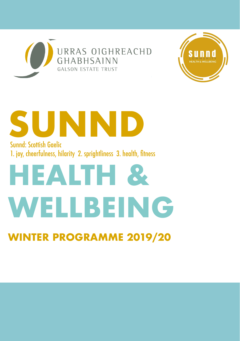



# **SUNND** Sunnd: Scottish Gaelic 1. joy, cheerfulness, hilarity 2. sprightliness 3. health, fitness

# **HEALTH & WELLBEING**

### **WINTER PROGRAMME 2019/20**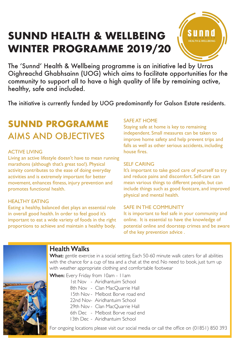### **SUNND HEALTH & WELLBEING WINTER PROGRAMME 2019/20**



The 'Sunnd' Health & Wellbeing programme is an initiative led by Urras Oighreachd Ghabhsainn (UOG) which aims to facilitate opportunities for the community to support all to have a high quality of life by remaining active, healthy, safe and included.

The initiative is currently funded by UOG predominantly for Galson Estate residents.

### **SUNND PROGRAMME** AIMS AND OBJECTIVES

#### ACTIVE LIVING

Living an active lifestyle doesn't have to mean running marathons (although that's great too!). Physical activity contributes to the ease of doing everyday activities and is extremely important for better movement, enhances fitness, injury prevention and promotes functional health.

#### HEALTHY EATING

Eating a healthy, balanced diet plays an essential role in overall good health. In order to feel good it's important to eat a wide variety of foods in the right proportions to achieve and maintain a healthy body.

#### SAFE AT HOME

Staying safe at home is key to remaining independent. Small measures can be taken to improve home safety and help prevent trips and falls as well as other serious accidents, including house fires.

#### SELF CARING

It's important to take good care of yourself to try and reduce pains and discomfort. Self-care can mean various things to different people, but can include things such as good footcare, and improved physical and mental health.

#### SAFE IN THE COMMUNITY

It is important to feel safe in your community and online. It is essential to have the knowledge of potential online and doorstep crimes and be aware of the key prevention advice .



### **Health Walks**

What: gentle exercise in a social setting. Each 50-60 minute walk caters for all abilities with the chance for a cup of tea and a chat at the end. No need to book, just turn up with weather appropriate clothing and comfortable footwear

**When:** Every Friday from 10am - 11am

- 1st Nov Airidhantuim School
- 8th Nov Clan MacQuarrie Hall
- 15th Nov Melbost Borve road end
- 22nd Nov- Airidhantuim School
- 29th Nov Clan MacQuarrie Hall
- 6th Dec Melbost Borve road end
- 13th Dec Airidhantuim School

For ongoing locations please visit our social media or call the office on (01851) 850 393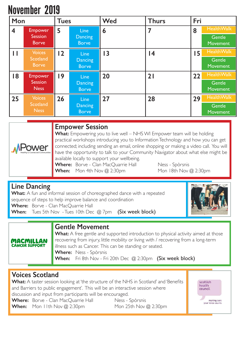### November 2019

| Mon                     |                                | <b>Tues</b> |                                | Wed             | <b>Thurs</b> | Fri |                    |
|-------------------------|--------------------------------|-------------|--------------------------------|-----------------|--------------|-----|--------------------|
| $\overline{\mathbf{4}}$ | <b>Empower</b>                 | 5           | Line                           | 6               | 7            | 8   | Health Walk        |
|                         | <b>Session</b><br><b>Borve</b> |             | <b>Dancing</b><br><b>Borve</b> |                 |              |     | Gentle<br>Movement |
| П                       | Voices                         | 12          | <b>Line</b>                    | $\overline{13}$ | 4            | 15  | <b>HealthWalk</b>  |
|                         | Scotland<br><b>Borve</b>       |             | Dancing<br><b>Borve</b>        |                 |              |     | Gentle<br>Movement |
| 18                      | <b>Empower</b>                 | 19          | Line                           | 20              | 21           | 22  | <b>HealthWalk</b>  |
|                         | <b>Session</b><br><b>Ness</b>  |             | <b>Dancing</b><br><b>Borve</b> |                 |              |     | Gentle<br>Movement |
| 25                      | <b>Voices</b>                  | 26          | <b>Line</b>                    | 27              | 28           | 29  | <b>HealthWalk</b>  |
|                         | Scotland<br><b>Ness</b>        |             | Dancing<br><b>Borve</b>        |                 |              |     | Gentle<br>Movement |

# Power

#### **Empower Session**

**What:** Empowering you to live well – NHS WI Empower team will be holding practical workshops introducing you to Information Technology and how you can get connected; including sending an email, online shopping or making a video call. You will have the opportunity to talk to your Community Navigator about what else might be available locally to support your wellbeing.

Where: Borve - Clan MacQuarrie Hall Ness - Spòrsnis **When:** Mon 4th Nov @ 2:30pm Mon 18th Nov @ 2:30pm

**Line Dancing**<br>**What:** A fun and informal session of choreographed dance with a repeated sequence of steps to help improve balance and coordination **Where:** Borve - Clan MacQuarrie Hall **When:** Tues 5th Nov - Tues 10th Dec @ 7pm (Six week block)



**Gentle Movement**<br>What: A free gentle and supported introduction to physical activity aimed at those recovering from injury, little mobility or living with / recovering from a long-term illness such as Cancer. This can be standing or seated. **Where:** Ness - Spòrsnis **When:** Fri 8th Nov - Fri 20th Dec @ 2:30pm (Six week block)

### **Voices Scotland**

**MACMILLAN**<br>CANCER SUPPORT

**What:** A taster session looking at 'the structure of the NHS in Scotland' and 'Benefits and Barriers to public engagement'. This will be an interactive session where discussion and input from participants will be encouraged. **Where:** Borve - Clan MacQuarrie Hall Ness - Spòrsnis

**When:** Mon 11th Nov @ 2:30pm Mon 25th Nov @ 2:30pm

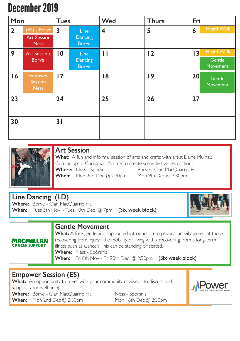### December 2019

| Mon            |                                                   | <b>Tues</b>             |                                        | Wed                     | <b>Thurs</b> | Fri |                                         |
|----------------|---------------------------------------------------|-------------------------|----------------------------------------|-------------------------|--------------|-----|-----------------------------------------|
| $\overline{2}$ | (ES) - Borve<br><b>Art Session</b><br><b>Ness</b> | $\overline{\mathbf{3}}$ | <b>Line</b><br>Dancing<br><b>Borve</b> | $\overline{\mathbf{4}}$ | 5            | 6   | <b>HealthWalk</b>                       |
| 9              | <b>Art Session</b><br><b>Borve</b>                | $\overline{0}$          | <b>Line</b><br>Dancing<br><b>Borve</b> | П                       | 12           | 3   | <b>HealthWalk</b><br>Gentle<br>Movement |
| 16             | Empower<br>Session<br><b>Ness</b>                 | $\overline{17}$         |                                        | 18                      | 9            | 20  | Gentle<br>Movement                      |
| 23             |                                                   | 24                      |                                        | 25                      | 26           | 27  |                                         |
| 30             |                                                   | 31                      |                                        |                         |              |     |                                         |



### **Art Session**

**What:** A fun and informal session of arts and crafts with artist Elaine Murray. Coming up to Christmas it's time to create some festive decorations.

Where: Ness - Spòrsnis Borve - Clan MacQuarrie Hall **When:** Mon 2nd Dec @ 2:30pm Mon 9th Dec @ 2:30pm

### **Line Dancing (LD)**<br>Where: Borve - Clan MacQuarrie Hall

**When:** Tues 5th Nov - Tues 10th Dec @ 7pm (Six week block)





**Gentle Movement**<br>**What:** A free gentle and supported introduction to physical activity aimed at those recovering from injury, little mobility or living with / recovering from a long-term illness such as Cancer. This can be standing or seated. **Where:** Ness - Spòrsnis **When:** Fri 8th Nov - Fri 20th Dec @ 2:30pm (Six week block)

### **Empower Session (ES)**

What: An opportunity to meet with your community navigator to discuss and support your well-being. Where: Borve - Clan MacQuarrie Hall Ness - Spòrsnis **When:** Mon 2nd Dec @ 2:30pm Mon 16th Dec @ 2:30pm

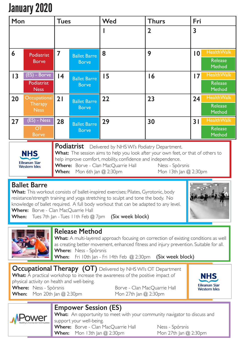## January 2020

| Mon |                                                 | <b>Tues</b> |                                     | <b>Wed</b>                                  | <b>Thurs</b>   | Fri            |                                        |
|-----|-------------------------------------------------|-------------|-------------------------------------|---------------------------------------------|----------------|----------------|----------------------------------------|
|     |                                                 |             |                                     |                                             | $\overline{2}$ | 3              |                                        |
| 6   | Podiatrist<br><b>Borve</b>                      | 7           | <b>Ballet Barre</b><br><b>Borve</b> | 8                                           | 9              | $\overline{0}$ | <b>HealthWalk</b><br>Release<br>Method |
| 13  | $(ES) - B$ orve<br>Podiatrist<br><b>Ness</b>    | 4           | <b>Ballet Barre</b><br><b>Borve</b> | 15                                          | 16             | 7              | <b>HealthWalk</b><br>Release<br>Method |
| 20  | Occupational<br><b>Therapy</b><br><b>Ness</b>   | 21          | <b>Ballet Barre</b><br><b>Borve</b> | 22                                          | 23             | 24             | <b>HealthWalk</b><br>Release<br>Method |
| 27  | $(ES) - Ness$<br>$\overline{C}$<br><b>Borve</b> | 28          | <b>Ballet Barre</b><br><b>Borve</b> | 29                                          | 30             | 31             | <b>HealthWalk</b><br>Release<br>Method |
|     |                                                 |             | <b>Podiatrict</b>                   | Delivered by NILICANI's Dedictry Department |                |                |                                        |

**NHS Eileanan Siar Western Isles** 

vered by NHS WI's Podiatry Department. **What:** The session aims to help you look after your own feet, or that of others to help improve comfort, mobility, confidence and independence. **Where:** Borve - Clan MacQuarrie Hall Ness - Spòrsnis

**When:** Mon 6th Jan @ 2:30pm Mon 13th Jan @ 2:30pm

**Ballet Barre**<br>**What:** This workout consists of ballet-inspired exercises; Pilates, Gyrotonic, body resistance/strength training and yoga stretching to sculpt and tone the body. No knowledge of ballet required. A full body workout that can be adapted to any level. **Where:** Borve - Clan MacQuarrie Hall



When: Tues 7th Jan - Tues I I th Feb @ 7pm (Six week block)



Release Method<br>What: A multi-layered approach focusing on correction of existing conditions as well as creating better movement, enhanced fitness and injury prevention. Suitable for all. **Where:** Ness - Spòrsnis

When: Fri 10th Jan - Fri 14th Feb @ 2:30pm (Six week block)

#### **Occupational Therapy (OT)** Delivered by NHS WI's OT Department What: A practical workshop to increase the awareness of the positive impact of

physical activity on health and well-being.

**Where:** Ness - Spòrsnis **Borve - Clan MacQuarrie Hall When:** Mon 20th Jan @ 2:30pm Mon 27th Jan @ 2:30pm





### **Empower Session (ES)**

What: An opportunity to meet with your community navigator to discuss and support your well-being.

Where: Borve - Clan MacQuarrie Hall Ness - Spòrsnis **When:** Mon 13th Jan @ 2:30pm Mon 27th Jan @ 2:30pm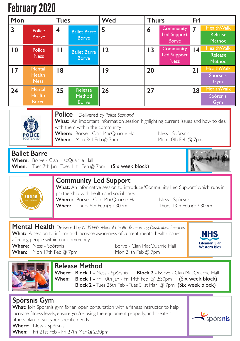# February 2020

| Fenruary Zuzu                                                                                                                                                                                                                                                                                                                                                                                                        |                                                |             |                                     |            |    |                                                 |                 |                                               |  |
|----------------------------------------------------------------------------------------------------------------------------------------------------------------------------------------------------------------------------------------------------------------------------------------------------------------------------------------------------------------------------------------------------------------------|------------------------------------------------|-------------|-------------------------------------|------------|----|-------------------------------------------------|-----------------|-----------------------------------------------|--|
| Mon                                                                                                                                                                                                                                                                                                                                                                                                                  |                                                | <b>Tues</b> |                                     | <b>Wed</b> |    | <b>Thurs</b>                                    |                 |                                               |  |
| 3                                                                                                                                                                                                                                                                                                                                                                                                                    | Police<br><b>Borve</b>                         | 4           | <b>Ballet Barre</b><br><b>Borve</b> | 5          | 6  | Community<br><b>Led Support</b><br><b>Borve</b> | $\overline{7}$  | <b>HealthWalk</b><br><b>Release</b><br>Method |  |
| $\overline{0}$                                                                                                                                                                                                                                                                                                                                                                                                       | Police<br><b>Ness</b>                          | П           | <b>Ballet Barre</b><br><b>Borve</b> | 12         | 13 | Community<br><b>Led Support</b><br><b>Ness</b>  | $\overline{14}$ | <b>HealthWalk</b><br><b>Release</b><br>Method |  |
| $\overline{17}$                                                                                                                                                                                                                                                                                                                                                                                                      | Mental<br><b>Health</b><br><b>Ness</b>         | 18          |                                     | 9          | 20 |                                                 | 21              | <b>HealthWalk</b><br>Spòrsnis<br>Gym          |  |
| 24                                                                                                                                                                                                                                                                                                                                                                                                                   | <b>Mental</b><br><b>Health</b><br><b>Borve</b> | 25          | Release<br>Method<br><b>Borve</b>   | 26         | 27 |                                                 | 28              | <b>HealthWalk</b><br>Spòrsnis<br>Gym          |  |
| <b>Police</b><br>Delivered by Police Scotland<br>What: An important information session highlighting current issues and how to deal<br>with them within the community.<br>Where: Borve - Clan MacQuarrie Hall<br>Ness - Spòrsnis<br>Mon 10th Feb @ 7pm<br>When:<br>Mon 3rd Feb @ 7pm<br><b>Ballet Barre</b><br>Where: Borve - Clan MacQuarrie Hall<br>Tues 7th Jan - Tues I I th Feb @ 7pm (Six week block)<br>When: |                                                |             |                                     |            |    |                                                 |                 |                                               |  |
| <b>Community Led Support</b><br>What: An informative session to introduce 'Community Led Support' which runs in<br>partnership with health and social care.<br>s u n n d<br>Where: Borve - Clan MacQuarrie Hall<br>Ness - Spòrsnis<br>When:<br>Thurs 13th Feb @ 2:30pm<br>Thurs 6th Feb $@$ 2:30pm                                                                                                                   |                                                |             |                                     |            |    |                                                 |                 |                                               |  |
| Mental Health Delivered by NHS WI's Mental Health & Learning Disabilities Services<br><b>What:</b> A session to inform and increase awareness of current mental health issues<br>NHS<br>affecting people within our community.<br><b>Eileanan Siar</b><br>Where: Ness - Spòrsnis<br>Borve - Clan MacQuarrie Hall<br><b>Western Isles</b><br>When:<br>Mon 17th Feb @ 7pm<br>Mon 24th Feb @ 7pm                        |                                                |             |                                     |            |    |                                                 |                 |                                               |  |
| <b>Release Method</b><br>Where: Block I - Ness - Spòrsnis Block 2 - Borve - Clan MacQuarrie Hall<br>When:<br>Block I - Fri 10th Jan - Fri 14th Feb @ 2:30pm<br>(Six week block)<br>Block 2 - Tues 25th Feb - Tues 31st Mar @ 7pm (Six week block)                                                                                                                                                                    |                                                |             |                                     |            |    |                                                 |                 |                                               |  |

### **Spòrsnis Gym**

**What:** Join Spòrsnis gym for an open consultation with a fitness instructor to help increase fitness levels, ensure you're using the equipment properly, and create a fitness plan to suit your specific needs.

spòrs**nis** 

**Where:** Ness - Spòrsnis **When:** Fri 21st Feb - Fri 27th Mar @ 2:30pm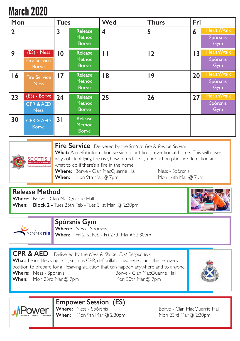## March 2020

| Mon            |                                                     | <b>Tues</b>     |                                          | <b>Wed</b> | <b>Thurs</b> | Fri |                                      |
|----------------|-----------------------------------------------------|-----------------|------------------------------------------|------------|--------------|-----|--------------------------------------|
| $\overline{2}$ |                                                     | 3               | <b>Release</b><br>Method<br><b>Borve</b> | 4          | 5            | 6   | <b>HealthWalk</b><br>Spòrsnis<br>Gym |
| 9              | (ES) - Ness<br><b>Fire Service</b><br><b>Borve</b>  | $\overline{0}$  | Release<br>Method<br><b>Borve</b>        | П          | 12           | 13  | <b>HealthWalk</b><br>Spòrsnis<br>Gym |
| 16             | <b>Fire Service</b><br><b>Ness</b>                  | $\overline{17}$ | Release<br>Method<br><b>Borve</b>        | 18         | 9            | 20  | <b>HealthWalk</b><br>Spòrsnis<br>Gym |
| 23             | (ES) - Borve<br><b>CPR &amp; AED</b><br><b>Ness</b> | 24              | Release<br>Method<br><b>Borve</b>        | 25         | 26           | 27  | <b>HealthWalk</b><br>Spòrsnis<br>Gym |
| 30             | <b>CPR &amp; AED</b><br><b>Borve</b>                | 3               | <b>Release</b><br>Method<br><b>Borve</b> |            |              |     |                                      |



**Fire Service** Delivered by the *Scottish Fire & Rescue Service* **What:** A useful information session about fire prevention at home. This will cover ways of identifying fire risk, how to reduce it, a fire action plan, fire detection and what to do if there's a fire in the home. **Where:** Borve - Clan MacQuarrie Hall Ness - Spòrsnis

**When:** Mon 9th Mar @ 7pm Mon 16th Mar @ 7pm

### **Release Method**

**Where:** Borve - Clan MacQuarrie Hall **When: Block 2 -** Tues 25th Feb - Tues 31st Mar @ 2:30pm





**ower** 

#### **Spòrsnis Gym**

**Where:** Ness - Spòrsnis **Spòrs nis** When: Fri 21st Feb - Fri 27th Mar @ 2:30pm

**CPR & AED** Delivered by the *Ness & Shader First Responders* **What:** Learn lifesaving skills, such as CPR, defibrillator awareness and the recovery position to prepare for a lifesaving situation that can happen anywhere and to anyone. **Where:** Ness - Spòrsnis **Borve - Clan MacQuarrie Hall When:** Mon 23rd Mar @ 7pm Mon 30th Mar @ 7pm



## **Empower Session (ES)**

**When:** Mon 9th Mar @ 2:30pm Mon 23rd Mar @ 2:30pm

Borve - Clan MacQuarrie Hall